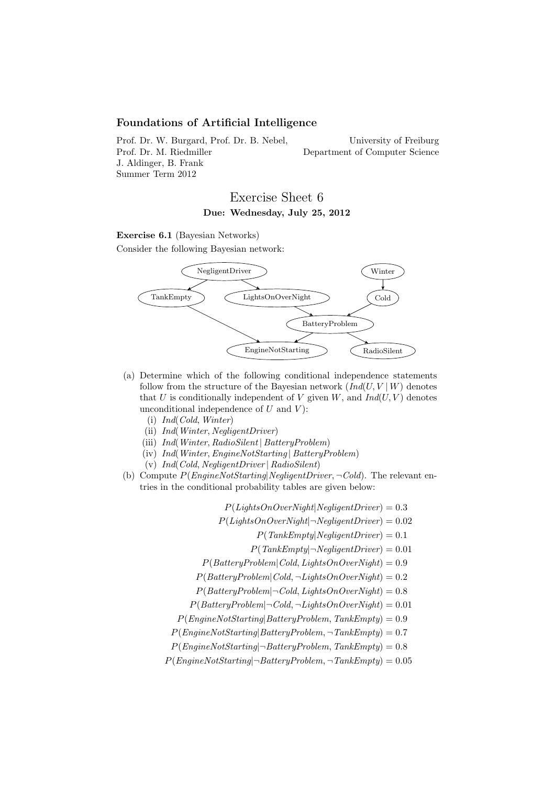# Foundations of Artificial Intelligence

Prof. Dr. W. Burgard, Prof. Dr. B. Nebel, Prof. Dr. M. Riedmiller J. Aldinger, B. Frank Summer Term 2012

University of Freiburg Department of Computer Science

# Exercise Sheet 6 Due: Wednesday, July 25, 2012

#### Exercise 6.1 (Bayesian Networks)

Consider the following Bayesian network:



- (a) Determine which of the following conditional independence statements follow from the structure of the Bayesian network  $(Ind(U, V | W))$  denotes that U is conditionally independent of V given W, and  $Ind(U, V)$  denotes unconditional independence of  $U$  and  $V$ :
	- (i) Ind(Cold, Winter)
	- (ii) Ind(Winter, NegligentDriver)
	- (iii) Ind(Winter, RadioSilent | BatteryProblem)
	- (iv) Ind(Winter,EngineNotStarting | BatteryProblem)
	- (v) Ind(Cold, NegligentDriver | RadioSilent)
- (b) Compute  $P(EnqineNotStarting|Negative: \neg Cold)$ . The relevant entries in the conditional probability tables are given below:

 $P(LiahtsOnOverNiaht|NealiaentDiriver) = 0.3$ 

- $P(Lights On Over Night | \neg Negative InDirect. ) = 0.02$ 
	- $P(TankEmpty|NegligentDirect) = 0.1$
	- $P(TankEmpty|\neg NegativentDirect) = 0.01$
- $P(Battery Problem | Cold, LightsOnOverRight) = 0.9$
- $P(Battery Problem | Cold, \neg LightsOnOverNight) = 0.2$
- $P(Battery Problem | \neg Cold, LightsOnOverNight) = 0.8$
- $P(Battery Problem | \neg Cold, \neg LightsOnOverRight) = 0.01$
- $P(EngineeringNotStarting|BatteryProblem, TankEmpty) = 0.9$
- $P(EngineeringNotStarting|BatteryProblem, \neg TankEmpty) = 0.7$
- $P(EngineeringNotStarting | \neg BatteryProblem, TankEmpty) = 0.8$
- $P(EngineeringNotStarting | \neg BatteryProblem, \neg TankEmpty) = 0.05$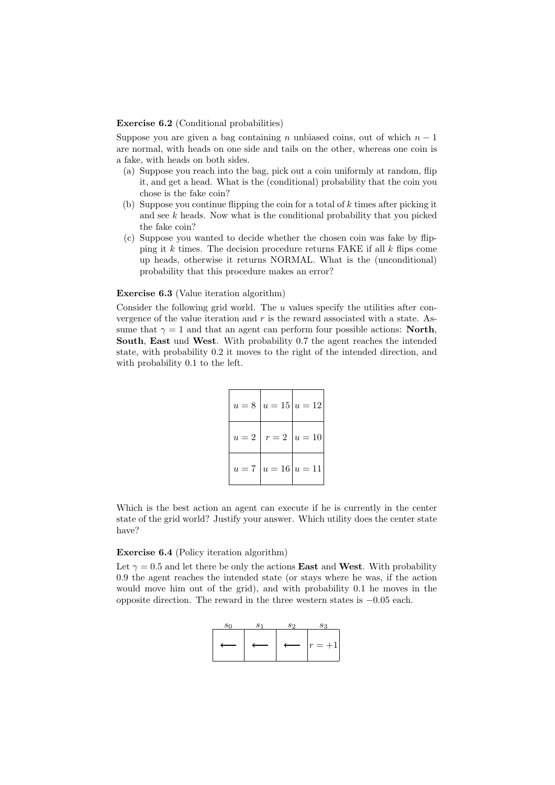### Exercise 6.2 (Conditional probabilities)

Suppose you are given a bag containing n unbiased coins, out of which  $n-1$ are normal, with heads on one side and tails on the other, whereas one coin is a fake, with heads on both sides.

- (a) Suppose you reach into the bag, pick out a coin uniformly at random, flip it, and get a head. What is the (conditional) probability that the coin you chose is the fake coin?
- (b) Suppose you continue flipping the coin for a total of  $k$  times after picking it and see  $k$  heads. Now what is the conditional probability that you picked the fake coin?
- (c) Suppose you wanted to decide whether the chosen coin was fake by flipping it  $k$  times. The decision procedure returns FAKE if all  $k$  flips come up heads, otherwise it returns NORMAL. What is the (unconditional) probability that this procedure makes an error?

## Exercise 6.3 (Value iteration algorithm)

Consider the following grid world. The  $u$  values specify the utilities after convergence of the value iteration and  $r$  is the reward associated with a state. Assume that  $\gamma = 1$  and that an agent can perform four possible actions: **North**, South, East und West. With probability 0.7 the agent reaches the intended state, with probability 0.2 it moves to the right of the intended direction, and with probability 0.1 to the left.

|  | $u = 8   u = 15   u = 12  $ |
|--|-----------------------------|
|  | $u=2   r=2   u=10  $        |
|  | $u = 7   u = 16   u = 11  $ |

Which is the best action an agent can execute if he is currently in the center state of the grid world? Justify your answer. Which utility does the center state have?

#### Exercise 6.4 (Policy iteration algorithm)

Let  $\gamma = 0.5$  and let there be only the actions **East** and **West**. With probability 0.9 the agent reaches the intended state (or stays where he was, if the action would move him out of the grid), and with probability 0.1 he moves in the opposite direction. The reward in the three western states is −0.05 each.